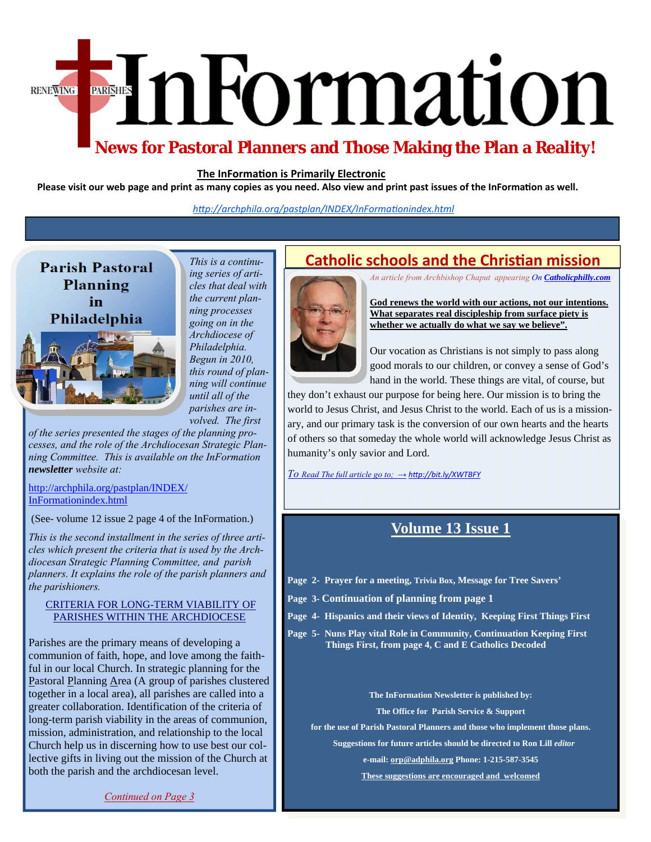# EnFormation RENEWING

## **News for Pastoral Planners and Those Making the Plan a Reality!**

#### **The InFormaƟon is Primarily Electronic**

Please visit our web page and print as many copies as you need. Also view and print past issues of the InFormation as well.

*hƩp://archphila.org/pastplan/INDEX/InFormaƟonindex.html*

## **Parish Pastoral** Planning in Philadelphia



*This is a continuing series of articles that deal with the current planning processes going on in the Archdiocese of Philadelphia. Begun in 2010, this round of planning will continue until all of the* 

*parishes are involved. The first* 

*of the series presented the stages of the planning processes, and the role of the Archdiocesan Strategic Planning Committee. This is available on the InFormation newsletter website at:* 

#### [http://archphila.org/pastplan/INDEX/](http://archphila.org/pastplan/INDEX/InFormationindex.html) InFormationindex.html

(See- volume 12 issue 2 page 4 of the InFormation.)

*This is the second installment in the series of three articles which present the criteria that is used by the Archdiocesan Strategic Planning Committee, and parish planners. It explains the role of the parish planners and the parishioners.* 

#### CRITERIA FOR LONG-TERM VIABILITY OF PARISHES WITHIN THE ARCHDIOCESE

Parishes are the primary means of developing a communion of faith, hope, and love among the faithful in our local Church. In strategic planning for the Pastoral Planning Area (A group of parishes clustered together in a local area), all parishes are called into a greater collaboration. Identification of the criteria of long-term parish viability in the areas of communion, mission, administration, and relationship to the local Church help us in discerning how to use best our collective gifts in living out the mission of the Church at both the parish and the archdiocesan level.

*Continued on Page 3* 

## **Catholic schools and the Christian mission**

*An article from Archbishop Chaput appearing On [Catholicphilly.com](www.catholicphilly.com)*



**God renews the world with our actions, not our intentions. What separates real discipleship from surface piety is whether we actually do what we say we believe".** 

Our vocation as Christians is not simply to pass along good morals to our children, or convey a sense of God's hand in the world. These things are vital, of course, but

they don't exhaust our purpose for being here. Our mission is to bring the world to Jesus Christ, and Jesus Christ to the world. Each of us is a missionary, and our primary task is the conversion of our own hearts and the hearts of others so that someday the whole world will acknowledge Jesus Christ as humanity's only savior and Lord.

*To Read The full article go to; → hƩ[p://bit.ly/XWTBFY](http://bitly/XWTBFY)*

### **Volume 13 Issue 1**

- **Page 2- Prayer for a meeting, Trivia Box, Message for Tree Savers'**
- **Page 3- Continuation of planning from page 1**
- **Page 4- Hispanics and their views of Identity, Keeping First Things First**
- **Page 5- Nuns Play vital Role in Community, Continuation Keeping First Things First, from page 4, C and E Catholics Decoded**

**The InFormation Newsletter is published by:** 

**The Office for Parish Service & Support** 

**for the use of Parish Pastoral Planners and those who implement those plans.** 

 **Suggestions for future articles should be directed to Ron Lill** *editor* 

**e-mail: orp@adphila.org Phone: 1-215-587-3545** 

**These suggestions are encouraged and welcomed**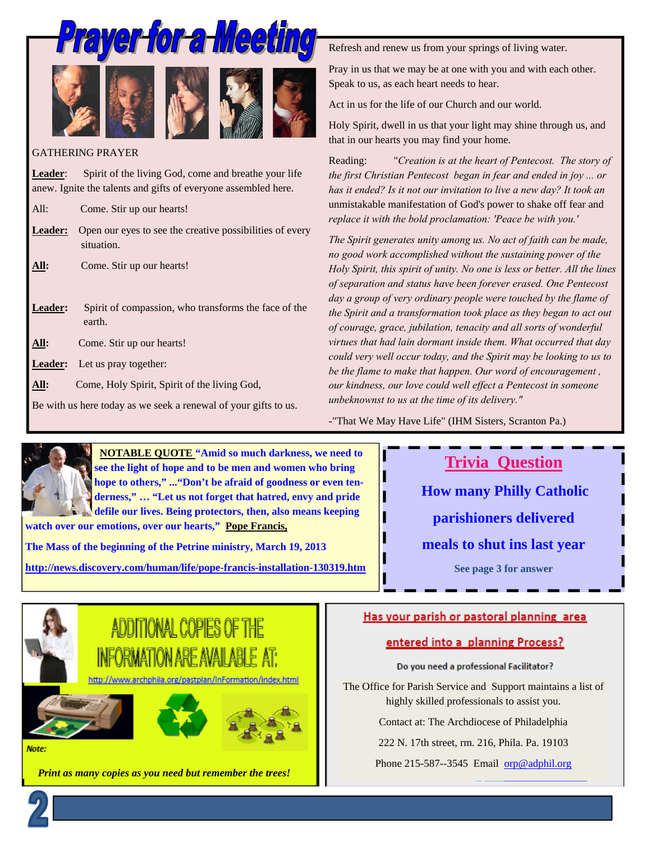









#### GATHERING PRAYER

Leader: Spirit of the living God, come and breathe your life anew. Ignite the talents and gifts of everyone assembled here.

All: Come. Stir up our hearts!

- Leader: Open our eyes to see the creative possibilities of every situation.
- **All:** Come. Stir up our hearts!

Leader: Spirit of compassion, who transforms the face of the earth.

**All:** Come. Stir up our hearts!

**Leader:** Let us pray together:

All: Come, Holy Spirit, Spirit of the living God,

Be with us here today as we seek a renewal of your gifts to us.

Refresh and renew us from your springs of living water.

Pray in us that we may be at one with you and with each other. Speak to us, as each heart needs to hear.

Act in us for the life of our Church and our world.

Holy Spirit, dwell in us that your light may shine through us, and that in our hearts you may find your home.

Reading: "*Creation is at the heart of Pentecost. The story of the first Christian Pentecost began in fear and ended in joy ... or has it ended? Is it not our invitation to live a new day? It took an*  unmistakable manifestation of God's power to shake off fear and *replace it with the bold proclamation: 'Peace be with you.'* 

*The Spirit generates unity among us. No act of faith can be made, no good work accomplished without the sustaining power of the Holy Spirit, this spirit of unity. No one is less or better. All the lines of separation and status have been forever erased. One Pentecost day a group of very ordinary people were touched by the flame of the Spirit and a transformation took place as they began to act out of courage, grace, jubilation, tenacity and all sorts of wonderful virtues that had lain dormant inside them. What occurred that day could very well occur today, and the Spirit may be looking to us to be the flame to make that happen. Our word of encouragement , our kindness, our love could well effect a Pentecost in someone unbeknownst to us at the time of its delivery."* 

-"That We May Have Life" (IHM Sisters, Scranton Pa.)



 **NOTABLE QUOTE "Amid so much darkness, we need to see the light of hope and to be men and women who bring hope to others," ..."Don't be afraid of goodness or even tenderness," … "Let us not forget that hatred, envy and pride defile our lives. Being protectors, then, also means keeping** 

**watch over our emotions, over our hearts," Pope Francis,** 

**The Mass of the beginning of the Petrine ministry, March 19, 2013** 

**http://news.discovery.com/human/life/pope-francis-installation-130319.htm** 

**Trivia Question** 

**How many Philly Catholic parishioners delivered meals to shut ins last year See page 3 for answer** 



Note:

## **Print as many copies as you need but remember the trees!** Phone 215-587--3545 Email orp@adphil.org

#### Has your parish or pastoral planning area

#### entered into a planning Process?

Do you need a professional Facilitator?

The Office for Parish Service and Support maintains a list of highly skilled professionals to assist you.

Contact at: The Archdiocese of Philadelphia

222 N. 17th street, rm. 216, Phila. Pa. 19103

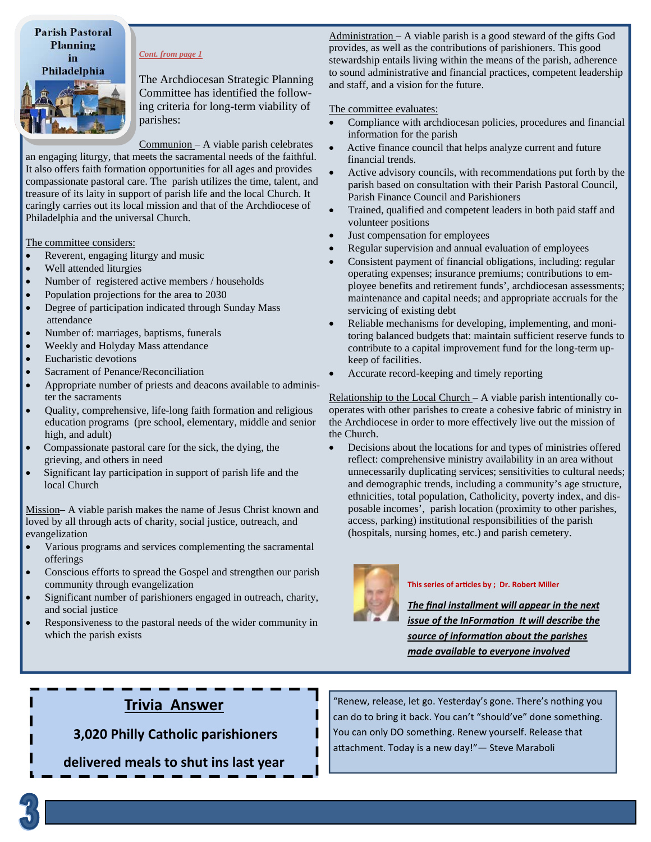**Parish Pastoral** Planning in Philadelphia



*Cont. from page 1* 

The Archdiocesan Strategic Planning Committee has identified the following criteria for long-term viability of parishes:

Communion – A viable parish celebrates

an engaging liturgy, that meets the sacramental needs of the faithful. It also offers faith formation opportunities for all ages and provides compassionate pastoral care. The parish utilizes the time, talent, and treasure of its laity in support of parish life and the local Church. It caringly carries out its local mission and that of the Archdiocese of Philadelphia and the universal Church.

#### The committee considers:

- Reverent, engaging liturgy and music
- Well attended liturgies
- Number of registered active members / households
- Population projections for the area to 2030
- Degree of participation indicated through Sunday Mass attendance
- Number of: marriages, baptisms, funerals
- Weekly and Holyday Mass attendance
- Eucharistic devotions
- Sacrament of Penance/Reconciliation
- Appropriate number of priests and deacons available to administer the sacraments
- Quality, comprehensive, life-long faith formation and religious education programs (pre school, elementary, middle and senior high, and adult)
- Compassionate pastoral care for the sick, the dying, the grieving, and others in need
- Significant lay participation in support of parish life and the local Church

Mission– A viable parish makes the name of Jesus Christ known and loved by all through acts of charity, social justice, outreach, and evangelization

- Various programs and services complementing the sacramental offerings
- Conscious efforts to spread the Gospel and strengthen our parish community through evangelization
- Significant number of parishioners engaged in outreach, charity, and social justice
- Responsiveness to the pastoral needs of the wider community in which the parish exists

Administration – A viable parish is a good steward of the gifts God provides, as well as the contributions of parishioners. This good stewardship entails living within the means of the parish, adherence to sound administrative and financial practices, competent leadership and staff, and a vision for the future.

#### The committee evaluates:

- Compliance with archdiocesan policies, procedures and financial information for the parish
- Active finance council that helps analyze current and future financial trends.
- Active advisory councils, with recommendations put forth by the parish based on consultation with their Parish Pastoral Council, Parish Finance Council and Parishioners
- Trained, qualified and competent leaders in both paid staff and volunteer positions
- Just compensation for employees
- Regular supervision and annual evaluation of employees
- Consistent payment of financial obligations, including: regular operating expenses; insurance premiums; contributions to employee benefits and retirement funds', archdiocesan assessments; maintenance and capital needs; and appropriate accruals for the servicing of existing debt
- Reliable mechanisms for developing, implementing, and monitoring balanced budgets that: maintain sufficient reserve funds to contribute to a capital improvement fund for the long-term upkeep of facilities.
- Accurate record-keeping and timely reporting

Relationship to the Local Church – A viable parish intentionally cooperates with other parishes to create a cohesive fabric of ministry in the Archdiocese in order to more effectively live out the mission of the Church.

 Decisions about the locations for and types of ministries offered reflect: comprehensive ministry availability in an area without unnecessarily duplicating services; sensitivities to cultural needs; and demographic trends, including a community's age structure, ethnicities, total population, Catholicity, poverty index, and disposable incomes', parish location (proximity to other parishes, access, parking) institutional responsibilities of the parish (hospitals, nursing homes, etc.) and parish cemetery.



#### **This series of arƟcles by ; Dr. Robert Miller**

*The final installment will appear in the next issue of the InFormation It will describe the source of informaƟon about the parishes made available to everyone involved* 

## **Trivia Answer**

**3,020 Philly Catholic parishioners** 

**delivered meals to shut ins last year** 

"Renew, release, let go. Yesterday's gone. There's nothing you can do to bring it back. You can't "should've" done something. You can only DO something. Renew yourself. Release that attachment. Today is a new day!"— Steve Maraboli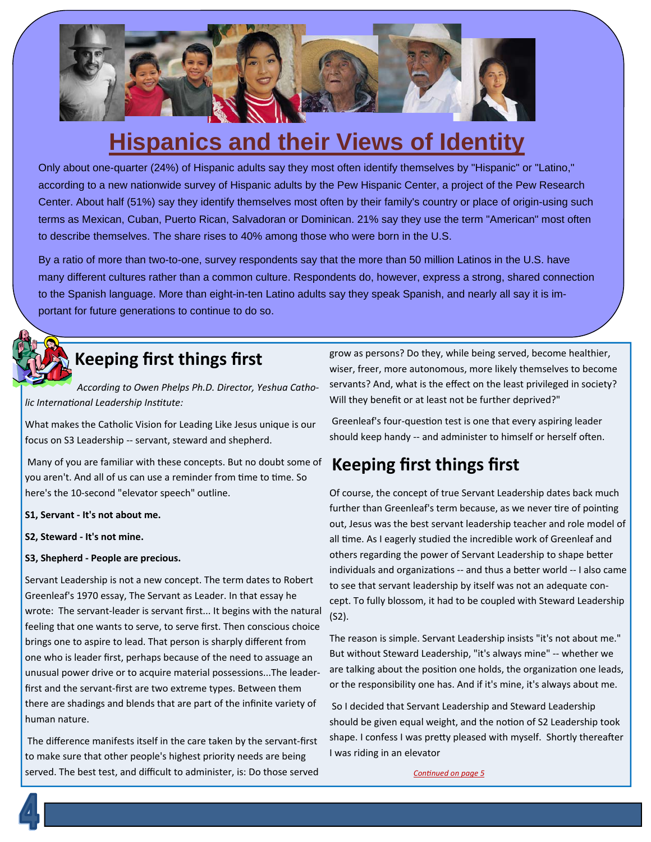

# **Hispanics and their Views of Identity**

Only about one-quarter (24%) of Hispanic adults say they most often identify themselves by "Hispanic" or "Latino," according to a new nationwide survey of Hispanic adults by the Pew Hispanic Center, a project of the Pew Research Center. About half (51%) say they identify themselves most often by their family's country or place of origin-using such terms as Mexican, Cuban, Puerto Rican, Salvadoran or Dominican. 21% say they use the term "American" most often to describe themselves. The share rises to 40% among those who were born in the U.S.

By a ratio of more than two-to-one, survey respondents say that the more than 50 million Latinos in the U.S. have many different cultures rather than a common culture. Respondents do, however, express a strong, shared connection to the Spanish language. More than eight-in-ten Latino adults say they speak Spanish, and nearly all say it is important for future generations to continue to do so.



## **Keeping first things first**

*According to Owen Phelps Ph.D. Director, Yeshua Catholic InternaƟonal Leadership InsƟtute:* 

What makes the Catholic Vision for Leading Like Jesus unique is our focus on S3 Leadership ‐‐ servant, steward and shepherd.

Many of you are familiar with these concepts. But no doubt some of you aren't. And all of us can use a reminder from time to time. So here's the 10‐second "elevator speech" outline.

**S1, Servant ‐ It's not about me.** 

**S2, Steward ‐ It's not mine.** 

#### **S3, Shepherd ‐ People are precious.**

Servant Leadership is not a new concept. The term dates to Robert Greenleaf's 1970 essay, The Servant as Leader. In that essay he wrote: The servant‐leader is servant first... It begins with the natural feeling that one wants to serve, to serve first. Then conscious choice brings one to aspire to lead. That person is sharply different from one who is leader first, perhaps because of the need to assuage an unusual power drive or to acquire material possessions...The leader‐ first and the servant‐first are two extreme types. Between them there are shadings and blends that are part of the infinite variety of human nature.

The difference manifests itself in the care taken by the servant‐first to make sure that other people's highest priority needs are being served. The best test, and difficult to administer, is: Do those served

grow as persons? Do they, while being served, become healthier, wiser, freer, more autonomous, more likely themselves to become servants? And, what is the effect on the least privileged in society? Will they benefit or at least not be further deprived?"

Greenleaf's four-question test is one that every aspiring leader should keep handy -- and administer to himself or herself often.

## **Keeping first things first**

Of course, the concept of true Servant Leadership dates back much further than Greenleaf's term because, as we never tire of pointing out, Jesus was the best servant leadership teacher and role model of all time. As I eagerly studied the incredible work of Greenleaf and others regarding the power of Servant Leadership to shape better individuals and organizations -- and thus a better world -- I also came to see that servant leadership by itself was not an adequate con‐ cept. To fully blossom, it had to be coupled with Steward Leadership (S2).

The reason is simple. Servant Leadership insists "it's not about me." But without Steward Leadership, "it's always mine" ‐‐ whether we are talking about the position one holds, the organization one leads, or the responsibility one has. And if it's mine, it's always about me.

So I decided that Servant Leadership and Steward Leadership should be given equal weight, and the notion of S2 Leadership took shape. I confess I was pretty pleased with myself. Shortly thereafter I was riding in an elevator

*ConƟnued on page 5*